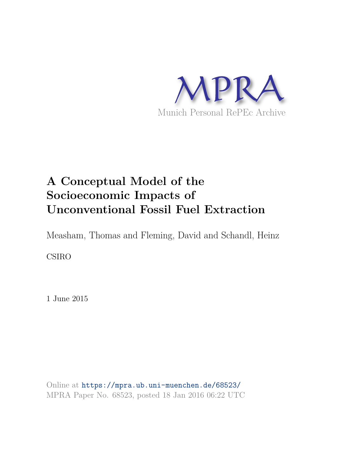

# **A Conceptual Model of the Socioeconomic Impacts of Unconventional Fossil Fuel Extraction**

Measham, Thomas and Fleming, David and Schandl, Heinz

CSIRO

1 June 2015

Online at https://mpra.ub.uni-muenchen.de/68523/ MPRA Paper No. 68523, posted 18 Jan 2016 06:22 UTC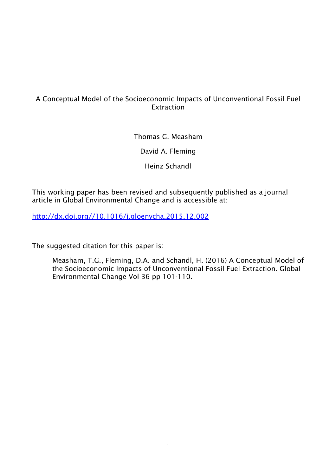# A Conceptual Model of the Socioeconomic Impacts of Unconventional Fossil Fuel **Extraction**

Thomas G. Measham

David A. Fleming

Heinz Schandl

This working paper has been revised and subsequently published as a journal article in Global Environmental Change and is accessible at:

http://dx.doi.org//10.1016/j.gloenvcha.2015.12.002

The suggested citation for this paper is:

Measham, T.G., Fleming, D.A. and Schandl, H. (2016) A Conceptual Model of the Socioeconomic Impacts of Unconventional Fossil Fuel Extraction. Global Environmental Change Vol 36 pp 101-110.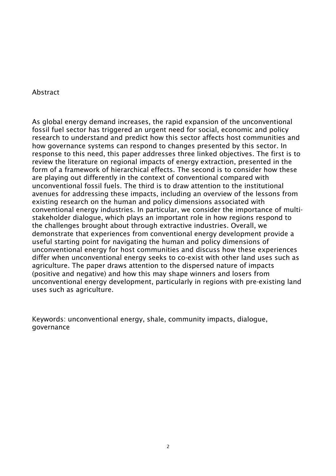#### Abstract

As global energy demand increases, the rapid expansion of the unconventional fossil fuel sector has triggered an urgent need for social, economic and policy research to understand and predict how this sector affects host communities and how governance systems can respond to changes presented by this sector. In response to this need, this paper addresses three linked objectives. The first is to review the literature on regional impacts of energy extraction, presented in the form of a framework of hierarchical effects. The second is to consider how these are playing out differently in the context of conventional compared with unconventional fossil fuels. The third is to draw attention to the institutional avenues for addressing these impacts, including an overview of the lessons from existing research on the human and policy dimensions associated with conventional energy industries. In particular, we consider the importance of multistakeholder dialogue, which plays an important role in how regions respond to the challenges brought about through extractive industries. Overall, we demonstrate that experiences from conventional energy development provide a useful starting point for navigating the human and policy dimensions of unconventional energy for host communities and discuss how these experiences differ when unconventional energy seeks to co-exist with other land uses such as agriculture. The paper draws attention to the dispersed nature of impacts (positive and negative) and how this may shape winners and losers from unconventional energy development, particularly in regions with pre-existing land uses such as agriculture.

Keywords: unconventional energy, shale, community impacts, dialogue, governance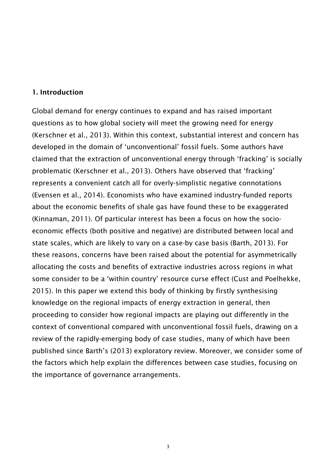#### 1. Introduction

Global demand for energy continues to expand and has raised important questions as to how global society will meet the growing need for energy (Kerschner et al., 2013). Within this context, substantial interest and concern has developed in the domain of 'unconventional' fossil fuels. Some authors have claimed that the extraction of unconventional energy through 'fracking' is socially problematic (Kerschner et al., 2013). Others have observed that 'fracking' represents a convenient catch all for overly-simplistic negative connotations (Evensen et al., 2014). Economists who have examined industry-funded reports about the economic benefits of shale gas have found these to be exaggerated (Kinnaman, 2011). Of particular interest has been a focus on how the socioeconomic effects (both positive and negative) are distributed between local and state scales, which are likely to vary on a case-by case basis (Barth, 2013). For these reasons, concerns have been raised about the potential for asymmetrically allocating the costs and benefits of extractive industries across regions in what some consider to be a 'within country' resource curse effect (Cust and Poelhekke, 2015). In this paper we extend this body of thinking by firstly synthesising knowledge on the regional impacts of energy extraction in general, then proceeding to consider how regional impacts are playing out differently in the context of conventional compared with unconventional fossil fuels, drawing on a review of the rapidly-emerging body of case studies, many of which have been published since Barth's (2013) exploratory review. Moreover, we consider some of the factors which help explain the differences between case studies, focusing on the importance of governance arrangements.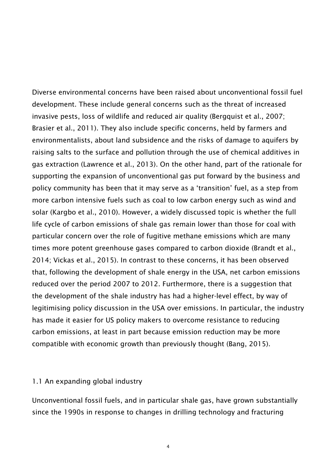Diverse environmental concerns have been raised about unconventional fossil fuel development. These include general concerns such as the threat of increased invasive pests, loss of wildlife and reduced air quality (Bergquist et al., 2007; Brasier et al., 2011). They also include specific concerns, held by farmers and environmentalists, about land subsidence and the risks of damage to aquifers by raising salts to the surface and pollution through the use of chemical additives in gas extraction (Lawrence et al., 2013). On the other hand, part of the rationale for supporting the expansion of unconventional gas put forward by the business and policy community has been that it may serve as a 'transition' fuel, as a step from more carbon intensive fuels such as coal to low carbon energy such as wind and solar (Kargbo et al., 2010). However, a widely discussed topic is whether the full life cycle of carbon emissions of shale gas remain lower than those for coal with particular concern over the role of fugitive methane emissions which are many times more potent greenhouse gases compared to carbon dioxide (Brandt et al., 2014; Vickas et al., 2015). In contrast to these concerns, it has been observed that, following the development of shale energy in the USA, net carbon emissions reduced over the period 2007 to 2012. Furthermore, there is a suggestion that the development of the shale industry has had a higher-level effect, by way of legitimising policy discussion in the USA over emissions. In particular, the industry has made it easier for US policy makers to overcome resistance to reducing carbon emissions, at least in part because emission reduction may be more compatible with economic growth than previously thought (Bang, 2015).

#### 1.1 An expanding global industry

Unconventional fossil fuels, and in particular shale gas, have grown substantially since the 1990s in response to changes in drilling technology and fracturing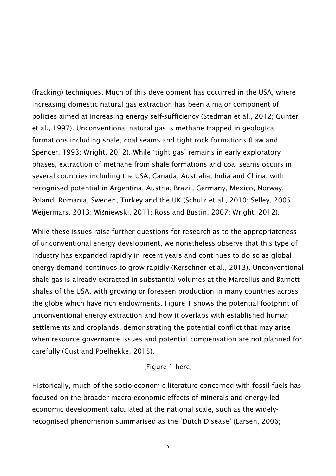(fracking) techniques. Much of this development has occurred in the USA, where increasing domestic natural gas extraction has been a major component of policies aimed at increasing energy self-sufficiency (Stedman et al., 2012; Gunter et al., 1997). Unconventional natural gas is methane trapped in geological formations including shale, coal seams and tight rock formations (Law and Spencer, 1993; Wright, 2012). While 'tight gas' remains in early exploratory phases, extraction of methane from shale formations and coal seams occurs in several countries including the USA, Canada, Australia, India and China, with recognised potential in Argentina, Austria, Brazil, Germany, Mexico, Norway, Poland, Romania, Sweden, Turkey and the UK (Schulz et al., 2010; Selley, 2005; Weijermars, 2013; Wiśniewski, 2011; Ross and Bustin, 2007; Wright, 2012).

While these issues raise further questions for research as to the appropriateness of unconventional energy development, we nonetheless observe that this type of industry has expanded rapidly in recent years and continues to do so as global energy demand continues to grow rapidly (Kerschner et al., 2013). Unconventional shale gas is already extracted in substantial volumes at the Marcellus and Barnett shales of the USA, with growing or foreseen production in many countries across the globe which have rich endowments. Figure 1 shows the potential footprint of unconventional energy extraction and how it overlaps with established human settlements and croplands, demonstrating the potential conflict that may arise when resource governance issues and potential compensation are not planned for carefully (Cust and Poelhekke, 2015).

#### [Figure 1 here]

Historically, much of the socio-economic literature concerned with fossil fuels has focused on the broader macro-economic effects of minerals and energy-led economic development calculated at the national scale, such as the widelyrecognised phenomenon summarised as the 'Dutch Disease' (Larsen, 2006;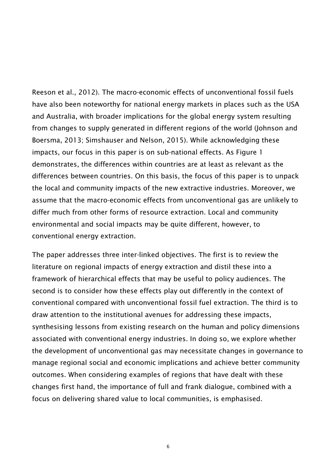Reeson et al., 2012). The macro-economic effects of unconventional fossil fuels have also been noteworthy for national energy markets in places such as the USA and Australia, with broader implications for the global energy system resulting from changes to supply generated in different regions of the world (Johnson and Boersma, 2013; Simshauser and Nelson, 2015). While acknowledging these impacts, our focus in this paper is on sub-national effects. As Figure 1 demonstrates, the differences within countries are at least as relevant as the differences between countries. On this basis, the focus of this paper is to unpack the local and community impacts of the new extractive industries. Moreover, we assume that the macro-economic effects from unconventional gas are unlikely to differ much from other forms of resource extraction. Local and community environmental and social impacts may be quite different, however, to conventional energy extraction.

The paper addresses three inter-linked objectives. The first is to review the literature on regional impacts of energy extraction and distil these into a framework of hierarchical effects that may be useful to policy audiences. The second is to consider how these effects play out differently in the context of conventional compared with unconventional fossil fuel extraction. The third is to draw attention to the institutional avenues for addressing these impacts, synthesising lessons from existing research on the human and policy dimensions associated with conventional energy industries. In doing so, we explore whether the development of unconventional gas may necessitate changes in governance to manage regional social and economic implications and achieve better community outcomes. When considering examples of regions that have dealt with these changes first hand, the importance of full and frank dialogue, combined with a focus on delivering shared value to local communities, is emphasised.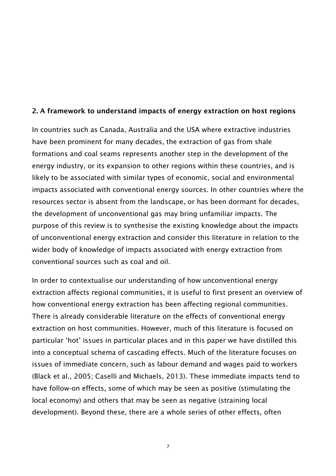#### 2. A framework to understand impacts of energy extraction on host regions

In countries such as Canada, Australia and the USA where extractive industries have been prominent for many decades, the extraction of gas from shale formations and coal seams represents another step in the development of the energy industry, or its expansion to other regions within these countries, and is likely to be associated with similar types of economic, social and environmental impacts associated with conventional energy sources. In other countries where the resources sector is absent from the landscape, or has been dormant for decades, the development of unconventional gas may bring unfamiliar impacts. The purpose of this review is to synthesise the existing knowledge about the impacts of unconventional energy extraction and consider this literature in relation to the wider body of knowledge of impacts associated with energy extraction from conventional sources such as coal and oil.

In order to contextualise our understanding of how unconventional energy extraction affects regional communities, it is useful to first present an overview of how conventional energy extraction has been affecting regional communities. There is already considerable literature on the effects of conventional energy extraction on host communities. However, much of this literature is focused on particular 'hot' issues in particular places and in this paper we have distilled this into a conceptual schema of cascading effects. Much of the literature focuses on issues of immediate concern, such as labour demand and wages paid to workers (Black et al., 2005; Caselli and Michaels, 2013). These immediate impacts tend to have follow-on effects, some of which may be seen as positive (stimulating the local economy) and others that may be seen as negative (straining local development). Beyond these, there are a whole series of other effects, often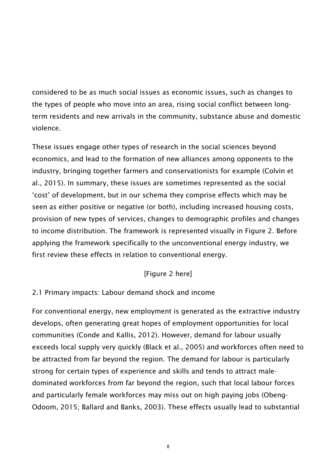considered to be as much social issues as economic issues, such as changes to the types of people who move into an area, rising social conflict between longterm residents and new arrivals in the community, substance abuse and domestic violence.

These issues engage other types of research in the social sciences beyond economics, and lead to the formation of new alliances among opponents to the industry, bringing together farmers and conservationists for example (Colvin et al., 2015). In summary, these issues are sometimes represented as the social 'cost' of development, but in our schema they comprise effects which may be seen as either positive or negative (or both), including increased housing costs, provision of new types of services, changes to demographic profiles and changes to income distribution. The framework is represented visually in Figure 2. Before applying the framework specifically to the unconventional energy industry, we first review these effects in relation to conventional energy.

# [Figure 2 here]

# 2.1 Primary impacts: Labour demand shock and income

For conventional energy, new employment is generated as the extractive industry develops, often generating great hopes of employment opportunities for local communities (Conde and Kallis, 2012). However, demand for labour usually exceeds local supply very quickly (Black et al., 2005) and workforces often need to be attracted from far beyond the region. The demand for labour is particularly strong for certain types of experience and skills and tends to attract maledominated workforces from far beyond the region, such that local labour forces and particularly female workforces may miss out on high paying jobs (Obeng-Odoom, 2015; Ballard and Banks, 2003). These effects usually lead to substantial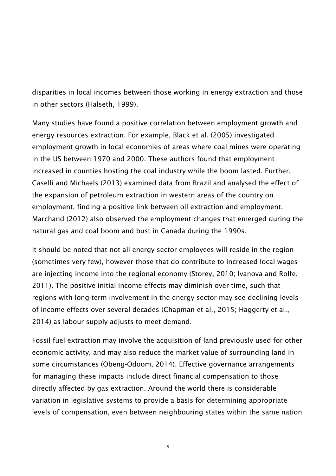disparities in local incomes between those working in energy extraction and those in other sectors (Halseth, 1999).

Many studies have found a positive correlation between employment growth and energy resources extraction. For example, Black et al. (2005) investigated employment growth in local economies of areas where coal mines were operating in the US between 1970 and 2000. These authors found that employment increased in counties hosting the coal industry while the boom lasted. Further, Caselli and Michaels (2013) examined data from Brazil and analysed the effect of the expansion of petroleum extraction in western areas of the country on employment, finding a positive link between oil extraction and employment. Marchand (2012) also observed the employment changes that emerged during the natural gas and coal boom and bust in Canada during the 1990s.

It should be noted that not all energy sector employees will reside in the region (sometimes very few), however those that do contribute to increased local wages are injecting income into the regional economy (Storey, 2010; Ivanova and Rolfe, 2011). The positive initial income effects may diminish over time, such that regions with long-term involvement in the energy sector may see declining levels of income effects over several decades (Chapman et al., 2015; Haggerty et al., 2014) as labour supply adjusts to meet demand.

Fossil fuel extraction may involve the acquisition of land previously used for other economic activity, and may also reduce the market value of surrounding land in some circumstances (Obeng-Odoom, 2014). Effective governance arrangements for managing these impacts include direct financial compensation to those directly affected by gas extraction. Around the world there is considerable variation in legislative systems to provide a basis for determining appropriate levels of compensation, even between neighbouring states within the same nation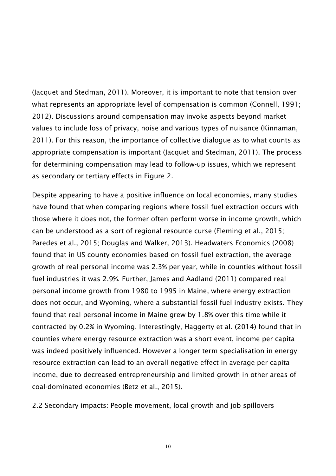(Jacquet and Stedman, 2011). Moreover, it is important to note that tension over what represents an appropriate level of compensation is common (Connell, 1991; 2012). Discussions around compensation may invoke aspects beyond market values to include loss of privacy, noise and various types of nuisance (Kinnaman, 2011). For this reason, the importance of collective dialogue as to what counts as appropriate compensation is important (Jacquet and Stedman, 2011). The process for determining compensation may lead to follow-up issues, which we represent as secondary or tertiary effects in Figure 2.

Despite appearing to have a positive influence on local economies, many studies have found that when comparing regions where fossil fuel extraction occurs with those where it does not, the former often perform worse in income growth, which can be understood as a sort of regional resource curse (Fleming et al., 2015; Paredes et al., 2015; Douglas and Walker, 2013). Headwaters Economics (2008) found that in US county economies based on fossil fuel extraction, the average growth of real personal income was 2.3% per year, while in counties without fossil fuel industries it was 2.9%. Further, James and Aadland (2011) compared real personal income growth from 1980 to 1995 in Maine, where energy extraction does not occur, and Wyoming, where a substantial fossil fuel industry exists. They found that real personal income in Maine grew by 1.8% over this time while it contracted by 0.2% in Wyoming. Interestingly, Haggerty et al. (2014) found that in counties where energy resource extraction was a short event, income per capita was indeed positively influenced. However a longer term specialisation in energy resource extraction can lead to an overall negative effect in average per capita income, due to decreased entrepreneurship and limited growth in other areas of coal-dominated economies (Betz et al., 2015).

2.2 Secondary impacts: People movement, local growth and job spillovers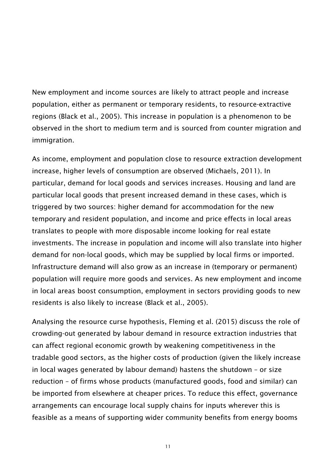New employment and income sources are likely to attract people and increase population, either as permanent or temporary residents, to resource-extractive regions (Black et al., 2005). This increase in population is a phenomenon to be observed in the short to medium term and is sourced from counter migration and immigration.

As income, employment and population close to resource extraction development increase, higher levels of consumption are observed (Michaels, 2011). In particular, demand for local goods and services increases. Housing and land are particular local goods that present increased demand in these cases, which is triggered by two sources: higher demand for accommodation for the new temporary and resident population, and income and price effects in local areas translates to people with more disposable income looking for real estate investments. The increase in population and income will also translate into higher demand for non-local goods, which may be supplied by local firms or imported. Infrastructure demand will also grow as an increase in (temporary or permanent) population will require more goods and services. As new employment and income in local areas boost consumption, employment in sectors providing goods to new residents is also likely to increase (Black et al., 2005).

Analysing the resource curse hypothesis, Fleming et al. (2015) discuss the role of crowding-out generated by labour demand in resource extraction industries that can affect regional economic growth by weakening competitiveness in the tradable good sectors, as the higher costs of production (given the likely increase in local wages generated by labour demand) hastens the shutdown – or size reduction – of firms whose products (manufactured goods, food and similar) can be imported from elsewhere at cheaper prices. To reduce this effect, governance arrangements can encourage local supply chains for inputs wherever this is feasible as a means of supporting wider community benefits from energy booms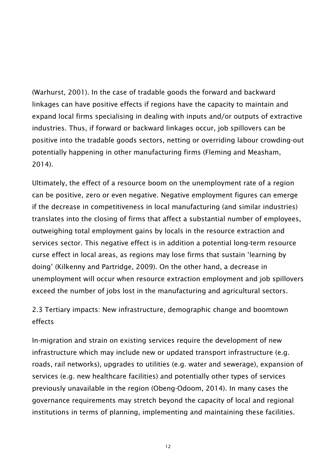(Warhurst, 2001). In the case of tradable goods the forward and backward linkages can have positive effects if regions have the capacity to maintain and expand local firms specialising in dealing with inputs and/or outputs of extractive industries. Thus, if forward or backward linkages occur, job spillovers can be positive into the tradable goods sectors, netting or overriding labour crowding-out potentially happening in other manufacturing firms (Fleming and Measham, 2014).

Ultimately, the effect of a resource boom on the unemployment rate of a region can be positive, zero or even negative. Negative employment figures can emerge if the decrease in competitiveness in local manufacturing (and similar industries) translates into the closing of firms that affect a substantial number of employees, outweighing total employment gains by locals in the resource extraction and services sector. This negative effect is in addition a potential long-term resource curse effect in local areas, as regions may lose firms that sustain 'learning by doing' (Kilkenny and Partridge, 2009). On the other hand, a decrease in unemployment will occur when resource extraction employment and job spillovers exceed the number of jobs lost in the manufacturing and agricultural sectors.

# 2.3 Tertiary impacts: New infrastructure, demographic change and boomtown effects

In-migration and strain on existing services require the development of new infrastructure which may include new or updated transport infrastructure (e.g. roads, rail networks), upgrades to utilities (e.g. water and sewerage), expansion of services (e.g. new healthcare facilities) and potentially other types of services previously unavailable in the region (Obeng-Odoom, 2014). In many cases the governance requirements may stretch beyond the capacity of local and regional institutions in terms of planning, implementing and maintaining these facilities.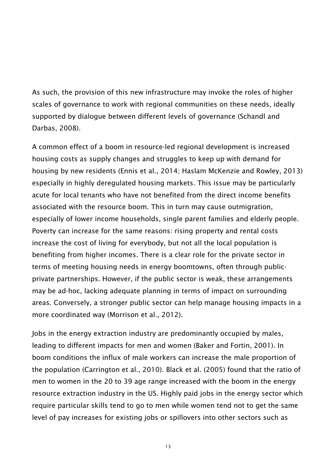As such, the provision of this new infrastructure may invoke the roles of higher scales of governance to work with regional communities on these needs, ideally supported by dialogue between different levels of governance (Schandl and Darbas, 2008).

A common effect of a boom in resource-led regional development is increased housing costs as supply changes and struggles to keep up with demand for housing by new residents (Ennis et al., 2014; Haslam McKenzie and Rowley, 2013) especially in highly deregulated housing markets. This issue may be particularly acute for local tenants who have not benefited from the direct income benefits associated with the resource boom. This in turn may cause outmigration, especially of lower income households, single parent families and elderly people. Poverty can increase for the same reasons: rising property and rental costs increase the cost of living for everybody, but not all the local population is benefiting from higher incomes. There is a clear role for the private sector in terms of meeting housing needs in energy boomtowns, often through publicprivate partnerships. However, if the public sector is weak, these arrangements may be ad-hoc, lacking adequate planning in terms of impact on surrounding areas. Conversely, a stronger public sector can help manage housing impacts in a more coordinated way (Morrison et al., 2012).

Jobs in the energy extraction industry are predominantly occupied by males, leading to different impacts for men and women (Baker and Fortin, 2001). In boom conditions the influx of male workers can increase the male proportion of the population (Carrington et al., 2010). Black et al. (2005) found that the ratio of men to women in the 20 to 39 age range increased with the boom in the energy resource extraction industry in the US. Highly paid jobs in the energy sector which require particular skills tend to go to men while women tend not to get the same level of pay increases for existing jobs or spillovers into other sectors such as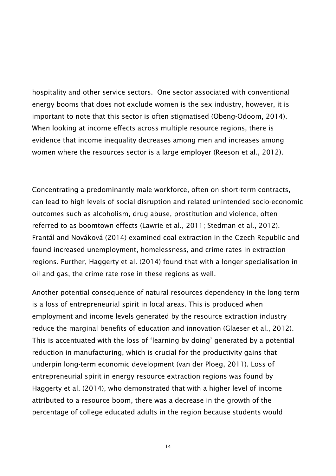hospitality and other service sectors. One sector associated with conventional energy booms that does not exclude women is the sex industry, however, it is important to note that this sector is often stigmatised (Obeng-Odoom, 2014). When looking at income effects across multiple resource regions, there is evidence that income inequality decreases among men and increases among women where the resources sector is a large employer (Reeson et al., 2012).

Concentrating a predominantly male workforce, often on short-term contracts, can lead to high levels of social disruption and related unintended socio-economic outcomes such as alcoholism, drug abuse, prostitution and violence, often referred to as boomtown effects (Lawrie et al., 2011; Stedman et al., 2012). Frantál and Nováková (2014) examined coal extraction in the Czech Republic and found increased unemployment, homelessness, and crime rates in extraction regions. Further, Haggerty et al. (2014) found that with a longer specialisation in oil and gas, the crime rate rose in these regions as well.

Another potential consequence of natural resources dependency in the long term is a loss of entrepreneurial spirit in local areas. This is produced when employment and income levels generated by the resource extraction industry reduce the marginal benefits of education and innovation (Glaeser et al., 2012). This is accentuated with the loss of 'learning by doing' generated by a potential reduction in manufacturing, which is crucial for the productivity gains that underpin long-term economic development (van der Ploeg, 2011). Loss of entrepreneurial spirit in energy resource extraction regions was found by Haggerty et al. (2014), who demonstrated that with a higher level of income attributed to a resource boom, there was a decrease in the growth of the percentage of college educated adults in the region because students would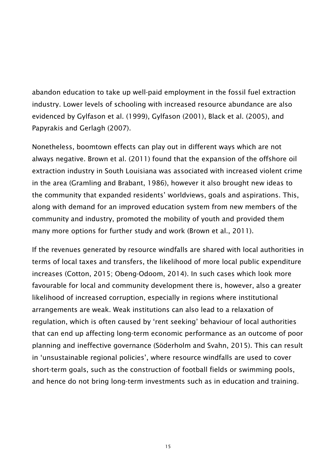abandon education to take up well-paid employment in the fossil fuel extraction industry. Lower levels of schooling with increased resource abundance are also evidenced by Gylfason et al. (1999), Gylfason (2001), Black et al. (2005), and Papyrakis and Gerlagh (2007).

Nonetheless, boomtown effects can play out in different ways which are not always negative. Brown et al. (2011) found that the expansion of the offshore oil extraction industry in South Louisiana was associated with increased violent crime in the area (Gramling and Brabant, 1986), however it also brought new ideas to the community that expanded residents' worldviews, goals and aspirations. This, along with demand for an improved education system from new members of the community and industry, promoted the mobility of youth and provided them many more options for further study and work (Brown et al., 2011).

If the revenues generated by resource windfalls are shared with local authorities in terms of local taxes and transfers, the likelihood of more local public expenditure increases (Cotton, 2015; Obeng-Odoom, 2014). In such cases which look more favourable for local and community development there is, however, also a greater likelihood of increased corruption, especially in regions where institutional arrangements are weak. Weak institutions can also lead to a relaxation of regulation, which is often caused by 'rent seeking' behaviour of local authorities that can end up affecting long-term economic performance as an outcome of poor planning and ineffective governance (Söderholm and Svahn, 2015). This can result in 'unsustainable regional policies', where resource windfalls are used to cover short-term goals, such as the construction of football fields or swimming pools, and hence do not bring long-term investments such as in education and training.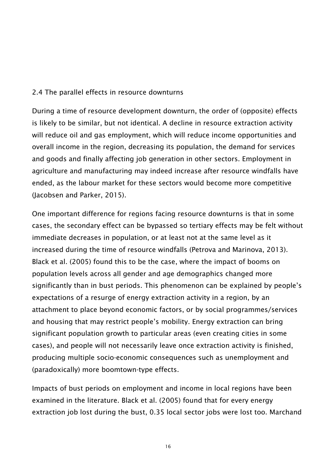#### 2.4 The parallel effects in resource downturns

During a time of resource development downturn, the order of (opposite) effects is likely to be similar, but not identical. A decline in resource extraction activity will reduce oil and gas employment, which will reduce income opportunities and overall income in the region, decreasing its population, the demand for services and goods and finally affecting job generation in other sectors. Employment in agriculture and manufacturing may indeed increase after resource windfalls have ended, as the labour market for these sectors would become more competitive (Jacobsen and Parker, 2015).

One important difference for regions facing resource downturns is that in some cases, the secondary effect can be bypassed so tertiary effects may be felt without immediate decreases in population, or at least not at the same level as it increased during the time of resource windfalls (Petrova and Marinova, 2013). Black et al. (2005) found this to be the case, where the impact of booms on population levels across all gender and age demographics changed more significantly than in bust periods. This phenomenon can be explained by people's expectations of a resurge of energy extraction activity in a region, by an attachment to place beyond economic factors, or by social programmes/services and housing that may restrict people's mobility. Energy extraction can bring significant population growth to particular areas (even creating cities in some cases), and people will not necessarily leave once extraction activity is finished, producing multiple socio-economic consequences such as unemployment and (paradoxically) more boomtown-type effects.

Impacts of bust periods on employment and income in local regions have been examined in the literature. Black et al. (2005) found that for every energy extraction job lost during the bust, 0.35 local sector jobs were lost too. Marchand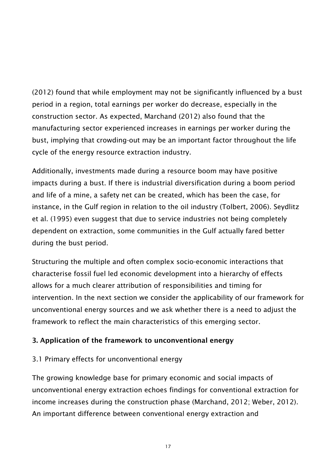(2012) found that while employment may not be significantly influenced by a bust period in a region, total earnings per worker do decrease, especially in the construction sector. As expected, Marchand (2012) also found that the manufacturing sector experienced increases in earnings per worker during the bust, implying that crowding-out may be an important factor throughout the life cycle of the energy resource extraction industry.

Additionally, investments made during a resource boom may have positive impacts during a bust. If there is industrial diversification during a boom period and life of a mine, a safety net can be created, which has been the case, for instance, in the Gulf region in relation to the oil industry (Tolbert, 2006). Seydlitz et al. (1995) even suggest that due to service industries not being completely dependent on extraction, some communities in the Gulf actually fared better during the bust period.

Structuring the multiple and often complex socio-economic interactions that characterise fossil fuel led economic development into a hierarchy of effects allows for a much clearer attribution of responsibilities and timing for intervention. In the next section we consider the applicability of our framework for unconventional energy sources and we ask whether there is a need to adjust the framework to reflect the main characteristics of this emerging sector.

# 3. Application of the framework to unconventional energy

#### 3.1 Primary effects for unconventional energy

The growing knowledge base for primary economic and social impacts of unconventional energy extraction echoes findings for conventional extraction for income increases during the construction phase (Marchand, 2012; Weber, 2012). An important difference between conventional energy extraction and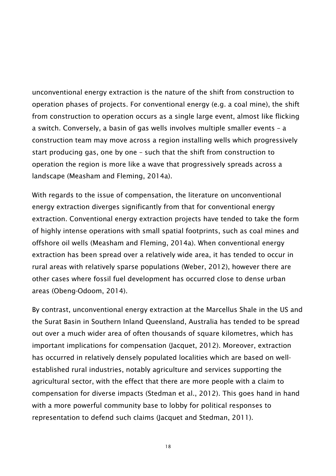unconventional energy extraction is the nature of the shift from construction to operation phases of projects. For conventional energy (e.g. a coal mine), the shift from construction to operation occurs as a single large event, almost like flicking a switch. Conversely, a basin of gas wells involves multiple smaller events – a construction team may move across a region installing wells which progressively start producing gas, one by one – such that the shift from construction to operation the region is more like a wave that progressively spreads across a landscape (Measham and Fleming, 2014a).

With regards to the issue of compensation, the literature on unconventional energy extraction diverges significantly from that for conventional energy extraction. Conventional energy extraction projects have tended to take the form of highly intense operations with small spatial footprints, such as coal mines and offshore oil wells (Measham and Fleming, 2014a). When conventional energy extraction has been spread over a relatively wide area, it has tended to occur in rural areas with relatively sparse populations (Weber, 2012), however there are other cases where fossil fuel development has occurred close to dense urban areas (Obeng-Odoom, 2014).

By contrast, unconventional energy extraction at the Marcellus Shale in the US and the Surat Basin in Southern Inland Queensland, Australia has tended to be spread out over a much wider area of often thousands of square kilometres, which has important implications for compensation (Jacquet, 2012). Moreover, extraction has occurred in relatively densely populated localities which are based on wellestablished rural industries, notably agriculture and services supporting the agricultural sector, with the effect that there are more people with a claim to compensation for diverse impacts (Stedman et al., 2012). This goes hand in hand with a more powerful community base to lobby for political responses to representation to defend such claims (Jacquet and Stedman, 2011).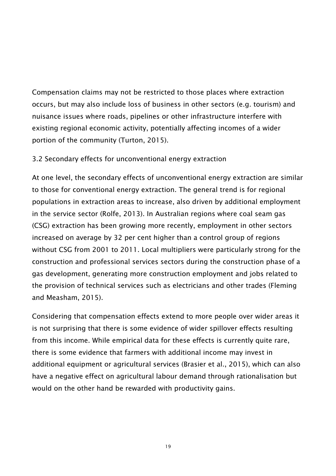Compensation claims may not be restricted to those places where extraction occurs, but may also include loss of business in other sectors (e.g. tourism) and nuisance issues where roads, pipelines or other infrastructure interfere with existing regional economic activity, potentially affecting incomes of a wider portion of the community (Turton, 2015).

# 3.2 Secondary effects for unconventional energy extraction

At one level, the secondary effects of unconventional energy extraction are similar to those for conventional energy extraction. The general trend is for regional populations in extraction areas to increase, also driven by additional employment in the service sector (Rolfe, 2013). In Australian regions where coal seam gas (CSG) extraction has been growing more recently, employment in other sectors increased on average by 32 per cent higher than a control group of regions without CSG from 2001 to 2011. Local multipliers were particularly strong for the construction and professional services sectors during the construction phase of a gas development, generating more construction employment and jobs related to the provision of technical services such as electricians and other trades (Fleming and Measham, 2015).

Considering that compensation effects extend to more people over wider areas it is not surprising that there is some evidence of wider spillover effects resulting from this income. While empirical data for these effects is currently quite rare, there is some evidence that farmers with additional income may invest in additional equipment or agricultural services (Brasier et al., 2015), which can also have a negative effect on agricultural labour demand through rationalisation but would on the other hand be rewarded with productivity gains.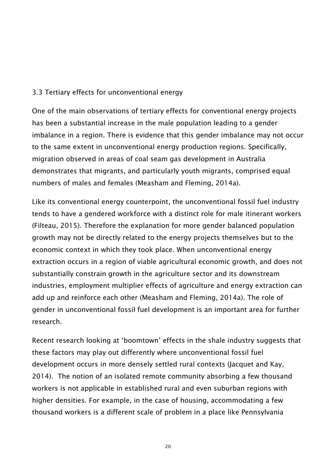# 3.3 Tertiary effects for unconventional energy

One of the main observations of tertiary effects for conventional energy projects has been a substantial increase in the male population leading to a gender imbalance in a region. There is evidence that this gender imbalance may not occur to the same extent in unconventional energy production regions. Specifically, migration observed in areas of coal seam gas development in Australia demonstrates that migrants, and particularly youth migrants, comprised equal numbers of males and females (Measham and Fleming, 2014a).

Like its conventional energy counterpoint, the unconventional fossil fuel industry tends to have a gendered workforce with a distinct role for male itinerant workers (Filteau, 2015). Therefore the explanation for more gender balanced population growth may not be directly related to the energy projects themselves but to the economic context in which they took place. When unconventional energy extraction occurs in a region of viable agricultural economic growth, and does not substantially constrain growth in the agriculture sector and its downstream industries, employment multiplier effects of agriculture and energy extraction can add up and reinforce each other (Measham and Fleming, 2014a). The role of gender in unconventional fossil fuel development is an important area for further research.

Recent research looking at 'boomtown' effects in the shale industry suggests that these factors may play out differently where unconventional fossil fuel development occurs in more densely settled rural contexts (Jacquet and Kay, 2014). The notion of an isolated remote community absorbing a few thousand workers is not applicable in established rural and even suburban regions with higher densities. For example, in the case of housing, accommodating a few thousand workers is a different scale of problem in a place like Pennsylvania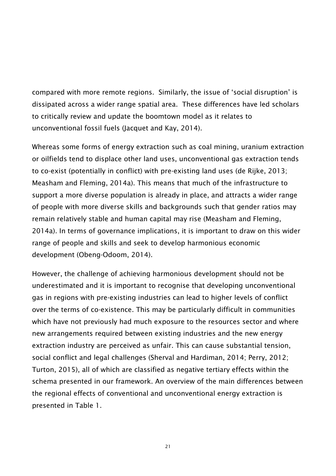compared with more remote regions. Similarly, the issue of 'social disruption' is dissipated across a wider range spatial area. These differences have led scholars to critically review and update the boomtown model as it relates to unconventional fossil fuels (Jacquet and Kay, 2014).

Whereas some forms of energy extraction such as coal mining, uranium extraction or oilfields tend to displace other land uses, unconventional gas extraction tends to co-exist (potentially in conflict) with pre-existing land uses (de Rijke, 2013; Measham and Fleming, 2014a). This means that much of the infrastructure to support a more diverse population is already in place, and attracts a wider range of people with more diverse skills and backgrounds such that gender ratios may remain relatively stable and human capital may rise (Measham and Fleming, 2014a). In terms of governance implications, it is important to draw on this wider range of people and skills and seek to develop harmonious economic development (Obeng-Odoom, 2014).

However, the challenge of achieving harmonious development should not be underestimated and it is important to recognise that developing unconventional gas in regions with pre-existing industries can lead to higher levels of conflict over the terms of co-existence. This may be particularly difficult in communities which have not previously had much exposure to the resources sector and where new arrangements required between existing industries and the new energy extraction industry are perceived as unfair. This can cause substantial tension, social conflict and legal challenges (Sherval and Hardiman, 2014; Perry, 2012; Turton, 2015), all of which are classified as negative tertiary effects within the schema presented in our framework. An overview of the main differences between the regional effects of conventional and unconventional energy extraction is presented in Table 1.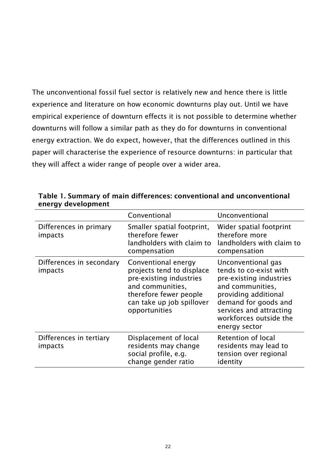The unconventional fossil fuel sector is relatively new and hence there is little experience and literature on how economic downturns play out. Until we have empirical experience of downturn effects it is not possible to determine whether downturns will follow a similar path as they do for downturns in conventional energy extraction. We do expect, however, that the differences outlined in this paper will characterise the experience of resource downturns: in particular that they will affect a wider range of people over a wider area.

|                                     | Conventional                                                                                                                                                            | Unconventional                                                                                                                                                                                                    |
|-------------------------------------|-------------------------------------------------------------------------------------------------------------------------------------------------------------------------|-------------------------------------------------------------------------------------------------------------------------------------------------------------------------------------------------------------------|
| Differences in primary<br>impacts   | Smaller spatial footprint,<br>therefore fewer<br>landholders with claim to<br>compensation                                                                              | Wider spatial footprint<br>therefore more<br>landholders with claim to<br>compensation                                                                                                                            |
| Differences in secondary<br>impacts | Conventional energy<br>projects tend to displace<br>pre-existing industries<br>and communities,<br>therefore fewer people<br>can take up job spillover<br>opportunities | Unconventional gas<br>tends to co-exist with<br>pre-existing industries<br>and communities,<br>providing additional<br>demand for goods and<br>services and attracting<br>workforces outside the<br>energy sector |
| Differences in tertiary<br>impacts  | Displacement of local<br>residents may change<br>social profile, e.g.<br>change gender ratio                                                                            | Retention of local<br>residents may lead to<br>tension over regional<br>identity                                                                                                                                  |

Table 1. Summary of main differences: conventional and unconventional energy development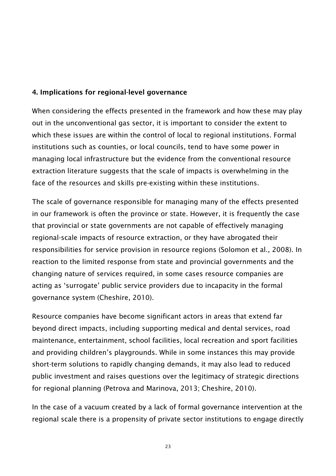# 4. Implications for regional-level governance

When considering the effects presented in the framework and how these may play out in the unconventional gas sector, it is important to consider the extent to which these issues are within the control of local to regional institutions. Formal institutions such as counties, or local councils, tend to have some power in managing local infrastructure but the evidence from the conventional resource extraction literature suggests that the scale of impacts is overwhelming in the face of the resources and skills pre-existing within these institutions.

The scale of governance responsible for managing many of the effects presented in our framework is often the province or state. However, it is frequently the case that provincial or state governments are not capable of effectively managing regional-scale impacts of resource extraction, or they have abrogated their responsibilities for service provision in resource regions (Solomon et al., 2008). In reaction to the limited response from state and provincial governments and the changing nature of services required, in some cases resource companies are acting as 'surrogate' public service providers due to incapacity in the formal governance system (Cheshire, 2010).

Resource companies have become significant actors in areas that extend far beyond direct impacts, including supporting medical and dental services, road maintenance, entertainment, school facilities, local recreation and sport facilities and providing children's playgrounds. While in some instances this may provide short-term solutions to rapidly changing demands, it may also lead to reduced public investment and raises questions over the legitimacy of strategic directions for regional planning (Petrova and Marinova, 2013; Cheshire, 2010).

In the case of a vacuum created by a lack of formal governance intervention at the regional scale there is a propensity of private sector institutions to engage directly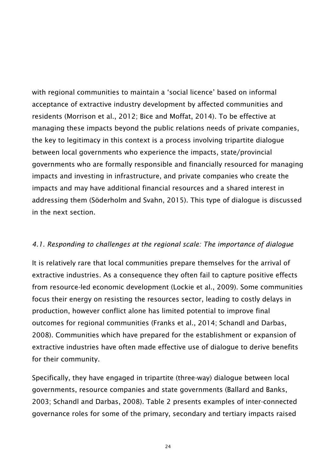with regional communities to maintain a 'social licence' based on informal acceptance of extractive industry development by affected communities and residents (Morrison et al., 2012; Bice and Moffat, 2014). To be effective at managing these impacts beyond the public relations needs of private companies, the key to legitimacy in this context is a process involving tripartite dialogue between local governments who experience the impacts, state/provincial governments who are formally responsible and financially resourced for managing impacts and investing in infrastructure, and private companies who create the impacts and may have additional financial resources and a shared interest in addressing them (Söderholm and Svahn, 2015). This type of dialogue is discussed in the next section.

#### *4.1. Responding to challenges at the regional scale: The importance of dialogue*

It is relatively rare that local communities prepare themselves for the arrival of extractive industries. As a consequence they often fail to capture positive effects from resource-led economic development (Lockie et al., 2009). Some communities focus their energy on resisting the resources sector, leading to costly delays in production, however conflict alone has limited potential to improve final outcomes for regional communities (Franks et al., 2014; Schandl and Darbas, 2008). Communities which have prepared for the establishment or expansion of extractive industries have often made effective use of dialogue to derive benefits for their community.

Specifically, they have engaged in tripartite (three-way) dialogue between local governments, resource companies and state governments (Ballard and Banks, 2003; Schandl and Darbas, 2008). Table 2 presents examples of inter-connected governance roles for some of the primary, secondary and tertiary impacts raised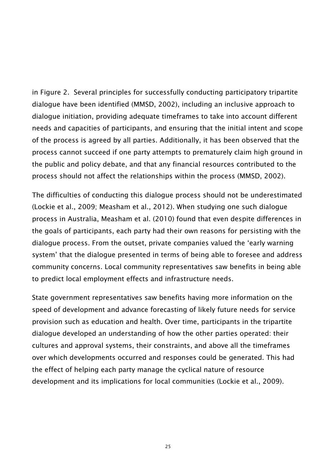in Figure 2. Several principles for successfully conducting participatory tripartite dialogue have been identified (MMSD, 2002), including an inclusive approach to dialogue initiation, providing adequate timeframes to take into account different needs and capacities of participants, and ensuring that the initial intent and scope of the process is agreed by all parties. Additionally, it has been observed that the process cannot succeed if one party attempts to prematurely claim high ground in the public and policy debate, and that any financial resources contributed to the process should not affect the relationships within the process (MMSD, 2002).

The difficulties of conducting this dialogue process should not be underestimated (Lockie et al., 2009; Measham et al., 2012). When studying one such dialogue process in Australia, Measham et al. (2010) found that even despite differences in the goals of participants, each party had their own reasons for persisting with the dialogue process. From the outset, private companies valued the 'early warning system' that the dialogue presented in terms of being able to foresee and address community concerns. Local community representatives saw benefits in being able to predict local employment effects and infrastructure needs.

State government representatives saw benefits having more information on the speed of development and advance forecasting of likely future needs for service provision such as education and health. Over time, participants in the tripartite dialogue developed an understanding of how the other parties operated: their cultures and approval systems, their constraints, and above all the timeframes over which developments occurred and responses could be generated. This had the effect of helping each party manage the cyclical nature of resource development and its implications for local communities (Lockie et al., 2009).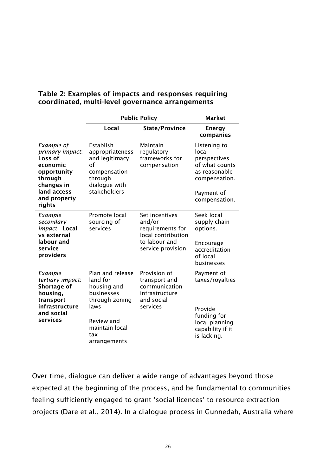|                                                                                                                                       | <b>Public Policy</b>                                                                                                                       | <b>Market</b>                                                                                            |                                                                                                                          |
|---------------------------------------------------------------------------------------------------------------------------------------|--------------------------------------------------------------------------------------------------------------------------------------------|----------------------------------------------------------------------------------------------------------|--------------------------------------------------------------------------------------------------------------------------|
|                                                                                                                                       | Local                                                                                                                                      | <b>State/Province</b>                                                                                    | <b>Energy</b><br>companies                                                                                               |
| Example of<br>primary impact:<br>Loss of<br>economic<br>opportunity<br>through<br>changes in<br>land access<br>and property<br>rights | Establish<br>appropriateness<br>and legitimacy<br>оf<br>compensation<br>through<br>dialogue with<br>stakeholders                           | Maintain<br>regulatory<br>frameworks for<br>compensation                                                 | Listening to<br>local<br>perspectives<br>of what counts<br>as reasonable<br>compensation.<br>Payment of<br>compensation. |
| Example<br>secondary<br>impact: Local<br>vs external<br>labour and<br>service<br>providers                                            | Promote local<br>sourcing of<br>services                                                                                                   | Set incentives<br>and/or<br>requirements for<br>local contribution<br>to labour and<br>service provision | Seek local<br>supply chain<br>options.<br>Encourage<br>accreditation<br>of local<br>businesses                           |
| Example<br>tertiary impact:<br>Shortage of<br>housing,<br>transport<br>infrastructure<br>and social<br>services                       | Plan and release<br>land for<br>housing and<br>businesses<br>through zoning<br>laws<br>Review and<br>maintain local<br>tax<br>arrangements | Provision of<br>transport and<br>communication<br>infrastructure<br>and social<br>services               | Payment of<br>taxes/royalties<br>Provide<br>funding for<br>local planning<br>capability if it<br>is lacking.             |

#### Table 2: Examples of impacts and responses requiring coordinated, multi-level governance arrangements

Over time, dialogue can deliver a wide range of advantages beyond those expected at the beginning of the process, and be fundamental to communities feeling sufficiently engaged to grant 'social licences' to resource extraction projects (Dare et al., 2014). In a dialogue process in Gunnedah, Australia where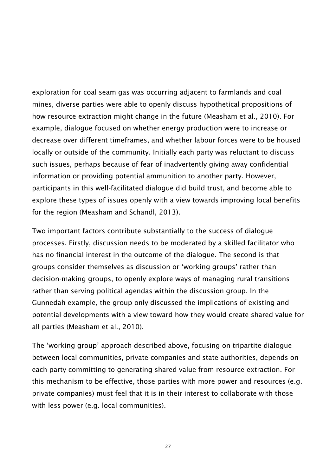exploration for coal seam gas was occurring adjacent to farmlands and coal mines, diverse parties were able to openly discuss hypothetical propositions of how resource extraction might change in the future (Measham et al., 2010). For example, dialogue focused on whether energy production were to increase or decrease over different timeframes, and whether labour forces were to be housed locally or outside of the community. Initially each party was reluctant to discuss such issues, perhaps because of fear of inadvertently giving away confidential information or providing potential ammunition to another party. However, participants in this well-facilitated dialogue did build trust, and become able to explore these types of issues openly with a view towards improving local benefits for the region (Measham and Schandl, 2013).

Two important factors contribute substantially to the success of dialogue processes. Firstly, discussion needs to be moderated by a skilled facilitator who has no financial interest in the outcome of the dialogue. The second is that groups consider themselves as discussion or 'working groups' rather than decision-making groups, to openly explore ways of managing rural transitions rather than serving political agendas within the discussion group. In the Gunnedah example, the group only discussed the implications of existing and potential developments with a view toward how they would create shared value for all parties (Measham et al., 2010).

The 'working group' approach described above, focusing on tripartite dialogue between local communities, private companies and state authorities, depends on each party committing to generating shared value from resource extraction. For this mechanism to be effective, those parties with more power and resources (e.g. private companies) must feel that it is in their interest to collaborate with those with less power (e.g. local communities).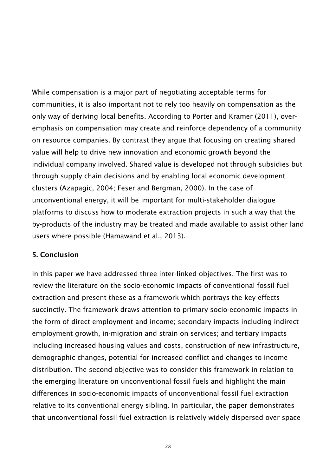While compensation is a major part of negotiating acceptable terms for communities, it is also important not to rely too heavily on compensation as the only way of deriving local benefits. According to Porter and Kramer (2011), overemphasis on compensation may create and reinforce dependency of a community on resource companies. By contrast they argue that focusing on creating shared value will help to drive new innovation and economic growth beyond the individual company involved. Shared value is developed not through subsidies but through supply chain decisions and by enabling local economic development clusters (Azapagic, 2004; Feser and Bergman, 2000). In the case of unconventional energy, it will be important for multi-stakeholder dialogue platforms to discuss how to moderate extraction projects in such a way that the by-products of the industry may be treated and made available to assist other land users where possible (Hamawand et al., 2013).

#### 5. Conclusion

In this paper we have addressed three inter-linked objectives. The first was to review the literature on the socio-economic impacts of conventional fossil fuel extraction and present these as a framework which portrays the key effects succinctly. The framework draws attention to primary socio-economic impacts in the form of direct employment and income; secondary impacts including indirect employment growth, in-migration and strain on services; and tertiary impacts including increased housing values and costs, construction of new infrastructure, demographic changes, potential for increased conflict and changes to income distribution. The second objective was to consider this framework in relation to the emerging literature on unconventional fossil fuels and highlight the main differences in socio-economic impacts of unconventional fossil fuel extraction relative to its conventional energy sibling. In particular, the paper demonstrates that unconventional fossil fuel extraction is relatively widely dispersed over space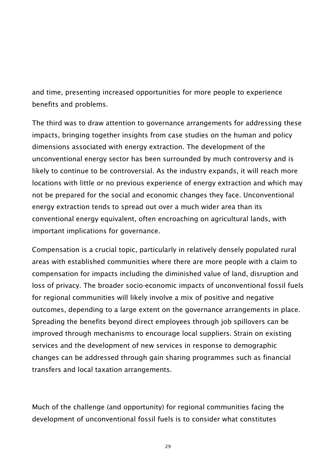and time, presenting increased opportunities for more people to experience benefits and problems.

The third was to draw attention to governance arrangements for addressing these impacts, bringing together insights from case studies on the human and policy dimensions associated with energy extraction. The development of the unconventional energy sector has been surrounded by much controversy and is likely to continue to be controversial. As the industry expands, it will reach more locations with little or no previous experience of energy extraction and which may not be prepared for the social and economic changes they face. Unconventional energy extraction tends to spread out over a much wider area than its conventional energy equivalent, often encroaching on agricultural lands, with important implications for governance.

Compensation is a crucial topic, particularly in relatively densely populated rural areas with established communities where there are more people with a claim to compensation for impacts including the diminished value of land, disruption and loss of privacy. The broader socio-economic impacts of unconventional fossil fuels for regional communities will likely involve a mix of positive and negative outcomes, depending to a large extent on the governance arrangements in place. Spreading the benefits beyond direct employees through job spillovers can be improved through mechanisms to encourage local suppliers. Strain on existing services and the development of new services in response to demographic changes can be addressed through gain sharing programmes such as financial transfers and local taxation arrangements.

Much of the challenge (and opportunity) for regional communities facing the development of unconventional fossil fuels is to consider what constitutes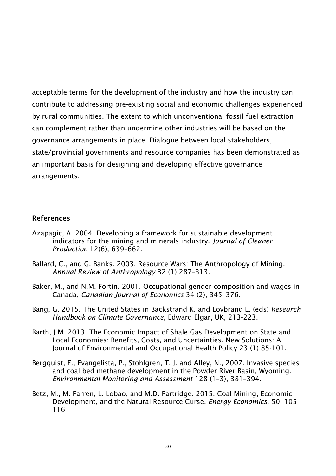acceptable terms for the development of the industry and how the industry can contribute to addressing pre-existing social and economic challenges experienced by rural communities. The extent to which unconventional fossil fuel extraction can complement rather than undermine other industries will be based on the governance arrangements in place. Dialogue between local stakeholders, state/provincial governments and resource companies has been demonstrated as an important basis for designing and developing effective governance arrangements.

#### References

- Azapagic, A. 2004. Developing a framework for sustainable development indicators for the mining and minerals industry. *Journal of Cleaner Production* 12(6), 639–662.
- Ballard, C., and G. Banks. 2003. Resource Wars: The Anthropology of Mining. *Annual Review of Anthropology* 32 (1):287–313.
- Baker, M., and N.M. Fortin. 2001. Occupational gender composition and wages in Canada, *Canadian Journal of Economics* 34 (2), 345–376.
- Bang, G. 2015. The United States in Backstrand K. and Lovbrand E. (eds) *Research Handbook on Climate Governance*, Edward Elgar, UK, 213-223.
- Barth, J.M. 2013. The Economic Impact of Shale Gas Development on State and Local Economies: Benefits, Costs, and Uncertainties. New Solutions: A Journal of Environmental and Occupational Health Policy 23 (1):85-101.
- Bergquist, E., Evangelista, P., Stohlgren, T. J. and Alley, N., 2007. Invasive species and coal bed methane development in the Powder River Basin, Wyoming. *Environmental Monitoring and Assessment* 128 (1–3), 381–394.
- Betz, M., M. Farren, L. Lobao, and M.D. Partridge. 2015. Coal Mining, Economic Development, and the Natural Resource Curse. *Energy Economics*, 50, 105– 116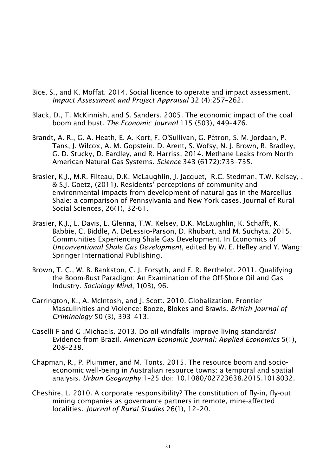- Bice, S., and K. Moffat. 2014. Social licence to operate and impact assessment. *Impact Assessment and Project Appraisal* 32 (4):257–262.
- Black, D., T. McKinnish, and S. Sanders. 2005. The economic impact of the coal boom and bust. *The Economic Journal* 115 (503), 449–476.
- Brandt, A. R., G. A. Heath, E. A. Kort, F. O'Sullivan, G. Pétron, S. M. Jordaan, P. Tans, J. Wilcox, A. M. Gopstein, D. Arent, S. Wofsy, N. J. Brown, R. Bradley, G. D. Stucky, D. Eardley, and R. Harriss. 2014. Methane Leaks from North American Natural Gas Systems. *Science* 343 (6172):733–735.
- Brasier, K.J., M.R. Filteau, D.K. McLaughlin, J. Jacquet, R.C. Stedman, T.W. Kelsey, , & S.J. Goetz, (2011). Residents' perceptions of community and environmental impacts from development of natural gas in the Marcellus Shale: a comparison of Pennsylvania and New York cases. Journal of Rural Social Sciences, 26(1), 32-61.
- Brasier, K.J., L. Davis, L. Glenna, T.W. Kelsey, D.K. McLaughlin, K. Schafft, K. Babbie, C. Biddle, A. DeLessio-Parson, D. Rhubart, and M. Suchyta. 2015. Communities Experiencing Shale Gas Development. In Economics of *Unconventional Shale Gas Development*, edited by W. E. Hefley and Y. Wang: Springer International Publishing.
- Brown, T. C., W. B. Bankston, C. J. Forsyth, and E. R. Berthelot. 2011. Qualifying the Boom-Bust Paradigm: An Examination of the Off-Shore Oil and Gas Industry. *Sociology Mind*, 1(03), 96.
- Carrington, K., A. McIntosh, and J. Scott. 2010. Globalization, Frontier Masculinities and Violence: Booze, Blokes and Brawls. *British Journal of Criminology* 50 (3), 393–413.
- Caselli F and G .Michaels. 2013. Do oil windfalls improve living standards? Evidence from Brazil. *American Economic Journal: Applied Economics* 5(1), 208–238.
- Chapman, R., P. Plummer, and M. Tonts. 2015. The resource boom and socioeconomic well-being in Australian resource towns: a temporal and spatial analysis. *Urban Geography*:1–25 doi: 10.1080/02723638.2015.1018032.
- Cheshire, L. 2010. A corporate responsibility? The constitution of fly-in, fly-out mining companies as governance partners in remote, mine-affected localities. *Journal of Rural Studies* 26(1), 12–20.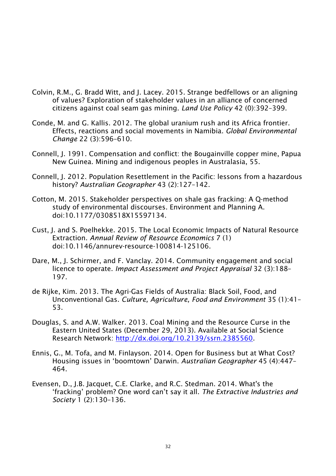- Colvin, R.M., G. Bradd Witt, and J. Lacey. 2015. Strange bedfellows or an aligning of values? Exploration of stakeholder values in an alliance of concerned citizens against coal seam gas mining. *Land Use Policy* 42 (0):392–399.
- Conde, M. and G. Kallis. 2012. The global uranium rush and its Africa frontier. Effects, reactions and social movements in Namibia. *Global Environmental Change* 22 (3):596–610.
- Connell, J. 1991. Compensation and conflict: the Bougainville copper mine, Papua New Guinea. Mining and indigenous peoples in Australasia, 55.
- Connell, J. 2012. Population Resettlement in the Pacific: lessons from a hazardous history? *Australian Geographer* 43 (2):127–142.
- Cotton, M. 2015. Stakeholder perspectives on shale gas fracking: A Q-method study of environmental discourses. Environment and Planning A. doi:10.1177/0308518X15597134.
- Cust, J. and S. Poelhekke. 2015. The Local Economic Impacts of Natural Resource Extraction. *Annual Review of Resource Economics* 7 (1) doi:10.1146/annurev-resource-100814-125106.
- Dare, M., J. Schirmer, and F. Vanclay. 2014. Community engagement and social licence to operate. *Impact Assessment and Project Appraisal* 32 (3):188– 197.
- de Rijke, Kim. 2013. The Agri-Gas Fields of Australia: Black Soil, Food, and Unconventional Gas. *Culture, Agriculture, Food and Environment* 35 (1):41– 53.
- Douglas, S. and A.W. Walker. 2013. Coal Mining and the Resource Curse in the Eastern United States (December 29, 2013). Available at Social Science Research Network: http://dx.doi.org/10.2139/ssrn.2385560.
- Ennis, G., M. Tofa, and M. Finlayson. 2014. Open for Business but at What Cost? Housing issues in 'boomtown' Darwin. *Australian Geographer* 45 (4):447– 464.
- Evensen, D., J.B. Jacquet, C.E. Clarke, and R.C. Stedman. 2014. What's the 'fracking' problem? One word can't say it all. *The Extractive Industries and Society* 1 (2):130–136.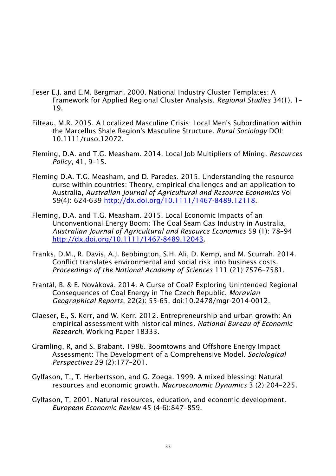- Feser E.J. and E.M. Bergman. 2000. National Industry Cluster Templates: A Framework for Applied Regional Cluster Analysis. *Regional Studies* 34(1), 1– 19.
- Filteau, M.R. 2015. A Localized Masculine Crisis: Local Men's Subordination within the Marcellus Shale Region's Masculine Structure. *Rural Sociology* DOI: 10.1111/ruso.12072.
- Fleming, D.A. and T.G. Measham. 2014. Local Job Multipliers of Mining. *Resources Policy*, 41, 9–15.
- Fleming D.A. T.G. Measham, and D. Paredes. 2015. Understanding the resource curse within countries: Theory, empirical challenges and an application to Australia, *Australian Journal of Agricultural and Resource Economics* Vol 59(4): 624-639 http://dx.doi.org/10.1111/1467-8489.12118.
- Fleming, D.A. and T.G. Measham. 2015. Local Economic Impacts of an Unconventional Energy Boom: The Coal Seam Gas Industry in Australia, *Australian Journal of Agricultural and Resource Economics* 59 (1): 78–94 http://dx.doi.org/10.1111/1467-8489.12043.
- Franks, D.M., R. Davis, A.J. Bebbington, S.H. Ali, D. Kemp, and M. Scurrah. 2014. Conflict translates environmental and social risk into business costs. *Proceedings of the National Academy of Sciences* 111 (21):7576–7581.
- Frantál, B. & E. Nováková. 2014. A Curse of Coal? Exploring Unintended Regional Consequences of Coal Energy in The Czech Republic. *Moravian Geographical Reports*, 22(2): 55-65. doi:10.2478/mgr-2014-0012.
- Glaeser, E., S. Kerr, and W. Kerr. 2012. Entrepreneurship and urban growth: An empirical assessment with historical mines. *National Bureau of Economic Research*, Working Paper 18333.
- Gramling, R, and S. Brabant. 1986. Boomtowns and Offshore Energy Impact Assessment: The Development of a Comprehensive Model. *Sociological Perspectives* 29 (2):177–201.
- Gylfason, T., T. Herbertsson, and G. Zoega. 1999. A mixed blessing: Natural resources and economic growth. *Macroeconomic Dynamics* 3 (2):204–225.
- Gylfason, T. 2001. Natural resources, education, and economic development. *European Economic Review* 45 (4-6):847–859.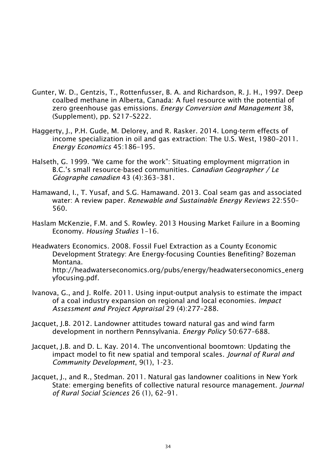- Gunter, W. D., Gentzis, T., Rottenfusser, B. A. and Richardson, R. J. H., 1997. Deep coalbed methane in Alberta, Canada: A fuel resource with the potential of zero greenhouse gas emissions. *Energy Conversion and Management* 38, (Supplement), pp. S217–S222.
- Haggerty, J., P.H. Gude, M. Delorey, and R. Rasker. 2014. Long-term effects of income specialization in oil and gas extraction: The U.S. West, 1980–2011. *Energy Economics* 45:186–195.
- Halseth, G. 1999. "We came for the work": Situating employment migrration in B.C.'s small resource-based communities. *Canadian Geographer / Le Géographe canadien* 43 (4):363–381.
- Hamawand, I., T. Yusaf, and S.G. Hamawand. 2013. Coal seam gas and associated water: A review paper. *Renewable and Sustainable Energy Reviews* 22:550– 560.
- Haslam McKenzie, F.M. and S. Rowley. 2013 Housing Market Failure in a Booming Economy. *Housing Studies* 1–16.

Headwaters Economics. 2008. Fossil Fuel Extraction as a County Economic Development Strategy: Are Energy-focusing Counties Benefiting? Bozeman Montana. http://headwaterseconomics.org/pubs/energy/headwaterseconomics\_energ yfocusing.pdf.

- Ivanova, G., and J. Rolfe. 2011. Using input-output analysis to estimate the impact of a coal industry expansion on regional and local economies. *Impact Assessment and Project Appraisal* 29 (4):277–288.
- Jacquet, J.B. 2012. Landowner attitudes toward natural gas and wind farm development in northern Pennsylvania. *Energy Policy* 50:677–688.
- Jacquet, J.B. and D. L. Kay. 2014. The unconventional boomtown: Updating the impact model to fit new spatial and temporal scales. *Journal of Rural and Community Development*, 9(1), 1-23.
- Jacquet, J., and R., Stedman. 2011. Natural gas landowner coalitions in New York State: emerging benefits of collective natural resource management. *Journal of Rural Social Sciences* 26 (1), 62–91.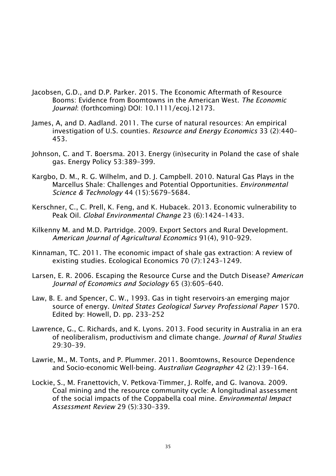- Jacobsen, G.D., and D.P. Parker. 2015. The Economic Aftermath of Resource Booms: Evidence from Boomtowns in the American West. *The Economic Journal*: (forthcoming) DOI: 10.1111/ecoj.12173.
- James, A, and D. Aadland. 2011. The curse of natural resources: An empirical investigation of U.S. counties. *Resource and Energy Economics* 33 (2):440– 453.
- Johnson, C. and T. Boersma. 2013. Energy (in)security in Poland the case of shale gas. Energy Policy 53:389–399.
- Kargbo, D. M., R. G. Wilhelm, and D. J. Campbell. 2010. Natural Gas Plays in the Marcellus Shale: Challenges and Potential Opportunities. *Environmental Science & Technology* 44 (15):5679–5684.
- Kerschner, C., C. Prell, K. Feng, and K. Hubacek. 2013. Economic vulnerability to Peak Oil. *Global Environmental Change* 23 (6):1424–1433.
- Kilkenny M. and M.D. Partridge. 2009. Export Sectors and Rural Development. *American Journal of Agricultural Economics* 91(4), 910–929.
- Kinnaman, TC. 2011. The economic impact of shale gas extraction: A review of existing studies. Ecological Economics 70 (7):1243–1249.
- Larsen, E. R. 2006. Escaping the Resource Curse and the Dutch Disease? *American Journal of Economics and Sociology* 65 (3):605–640.
- Law, B. E. and Spencer, C. W., 1993. Gas in tight reservoirs-an emerging major source of energy. *United States Geological Survey Professional Paper* 1570. Edited by: Howell, D. pp. 233–252
- Lawrence, G., C. Richards, and K. Lyons. 2013. Food security in Australia in an era of neoliberalism, productivism and climate change. *Journal of Rural Studies*  29:30–39.
- Lawrie, M., M. Tonts, and P. Plummer. 2011. Boomtowns, Resource Dependence and Socio-economic Well-being. *Australian Geographer* 42 (2):139–164.
- Lockie, S., M. Franettovich, V. Petkova-Timmer, J. Rolfe, and G. Ivanova. 2009. Coal mining and the resource community cycle: A longitudinal assessment of the social impacts of the Coppabella coal mine. *Environmental Impact Assessment Review* 29 (5):330–339.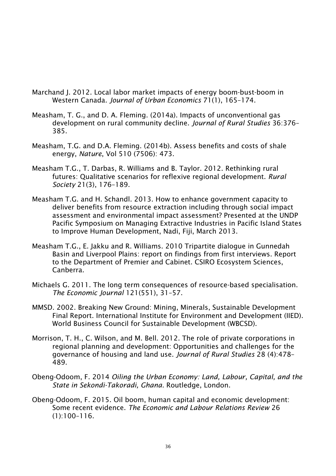- Marchand J. 2012. Local labor market impacts of energy boom-bust-boom in Western Canada. *Journal of Urban Economics* 71(1), 165–174.
- Measham, T. G., and D. A. Fleming. (2014a). Impacts of unconventional gas development on rural community decline. *Journal of Rural Studies* 36:376– 385.
- Measham, T.G. and D.A. Fleming. (2014b). Assess benefits and costs of shale energy, *Nature*, Vol 510 (7506): 473.
- Measham T.G., T. Darbas, R. Williams and B. Taylor. 2012. Rethinking rural futures: Qualitative scenarios for reflexive regional development. *Rural Society* 21(3), 176–189.
- Measham T.G. and H. Schandl. 2013. How to enhance government capacity to deliver benefits from resource extraction including through social impact assessment and environmental impact assessment? Presented at the UNDP Pacific Symposium on Managing Extractive Industries in Pacific Island States to Improve Human Development, Nadi, Fiji, March 2013.
- Measham T.G., E. Jakku and R. Williams. 2010 Tripartite dialogue in Gunnedah Basin and Liverpool Plains: report on findings from first interviews. Report to the Department of Premier and Cabinet. CSIRO Ecosystem Sciences, Canberra.
- Michaels G. 2011. The long term consequences of resource-based specialisation. *The Economic Journal* 121(551), 31–57.
- MMSD. 2002. Breaking New Ground: Mining, Minerals, Sustainable Development Final Report. International Institute for Environment and Development (IIED). World Business Council for Sustainable Development (WBCSD).
- Morrison, T. H., C. Wilson, and M. Bell. 2012. The role of private corporations in regional planning and development: Opportunities and challenges for the governance of housing and land use. *Journal of Rural Studies* 28 (4):478– 489.
- Obeng-Odoom, F. 2014 *Oiling the Urban Economy: Land, Labour, Capital, and the State in Sekondi-Takoradi, Ghana.* Routledge, London.
- Obeng-Odoom, F. 2015. Oil boom, human capital and economic development: Some recent evidence. *The Economic and Labour Relations Review* 26 (1):100–116.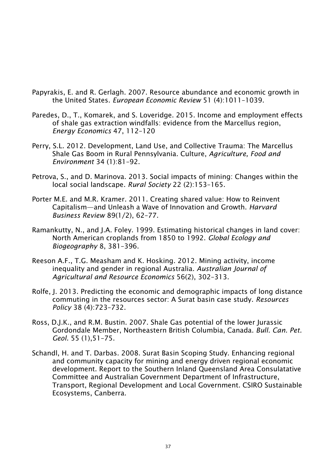- Papyrakis, E. and R. Gerlagh. 2007. Resource abundance and economic growth in the United States. *European Economic Review* 51 (4):1011–1039.
- Paredes, D., T., Komarek, and S. Loveridge. 2015. Income and employment effects of shale gas extraction windfalls: evidence from the Marcellus region, *Energy Economics* 47, 112–120
- Perry, S.L. 2012. Development, Land Use, and Collective Trauma: The Marcellus Shale Gas Boom in Rural Pennsylvania. Culture, *Agriculture, Food and Environment* 34 (1):81–92.
- Petrova, S., and D. Marinova. 2013. Social impacts of mining: Changes within the local social landscape. *Rural Society* 22 (2):153–165.
- Porter M.E. and M.R. Kramer. 2011. Creating shared value: How to Reinvent Capitalism—and Unleash a Wave of Innovation and Growth. *Harvard Business Review* 89(1/2), 62–77.
- Ramankutty, N., and J.A. Foley. 1999. Estimating historical changes in land cover: North American croplands from 1850 to 1992. *Global Ecology and Biogeography* 8, 381–396.
- Reeson A.F., T.G. Measham and K. Hosking. 2012. Mining activity, income inequality and gender in regional Australia. *Australian Journal of Agricultural and Resource Economics* 56(2), 302–313.
- Rolfe, J. 2013. Predicting the economic and demographic impacts of long distance commuting in the resources sector: A Surat basin case study. *Resources Policy* 38 (4):723–732.
- Ross, D.J.K., and R.M. Bustin. 2007. Shale Gas potential of the lower Jurassic Gordondale Member, Northeastern British Columbia, Canada. *Bull. Can. Pet. Geol.* 55 (1),51–75.
- Schandl, H. and T. Darbas. 2008. Surat Basin Scoping Study. Enhancing regional and community capacity for mining and energy driven regional economic development. Report to the Southern Inland Queensland Area Consulatative Committee and Australian Government Department of Infrastructure, Transport, Regional Development and Local Government. CSIRO Sustainable Ecosystems, Canberra.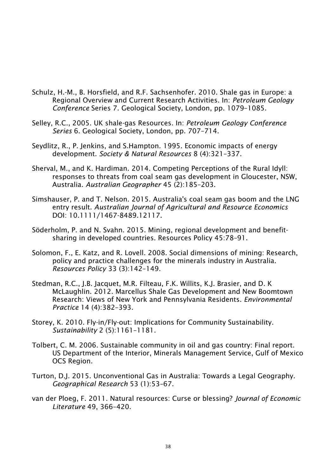- Schulz, H.-M., B. Horsfield, and R.F. Sachsenhofer. 2010. Shale gas in Europe: a Regional Overview and Current Research Activities. In: *Petroleum Geology Conference* Series 7. Geological Society, London, pp. 1079–1085.
- Selley, R.C., 2005. UK shale-gas Resources. In: *Petroleum Geology Conference Series* 6. Geological Society, London, pp. 707–714.
- Seydlitz, R., P. Jenkins, and S.Hampton. 1995. Economic impacts of energy development. *Society & Natural Resources* 8 (4):321–337.
- Sherval, M., and K. Hardiman. 2014. Competing Perceptions of the Rural Idyll: responses to threats from coal seam gas development in Gloucester, NSW, Australia. *Australian Geographer* 45 (2):185–203.
- Simshauser, P. and T. Nelson. 2015. Australia's coal seam gas boom and the LNG entry result. *Australian Journal of Agricultural and Resource Economics* DOI: 10.1111/1467-8489.12117.
- Söderholm, P. and N. Svahn. 2015. Mining, regional development and benefitsharing in developed countries. Resources Policy 45:78–91.
- Solomon, F., E. Katz, and R. Lovell. 2008. Social dimensions of mining: Research, policy and practice challenges for the minerals industry in Australia. *Resources Policy* 33 (3):142–149.
- Stedman, R.C., J.B. Jacquet, M.R. Filteau, F.K. Willits, K.J. Brasier, and D. K McLaughlin. 2012. Marcellus Shale Gas Development and New Boomtown Research: Views of New York and Pennsylvania Residents. *Environmental Practice* 14 (4):382–393.
- Storey, K. 2010. Fly-in/Fly-out: Implications for Community Sustainability. *Sustainability* 2 (5):1161–1181.
- Tolbert, C. M. 2006. Sustainable community in oil and gas country: Final report. US Department of the Interior, Minerals Management Service, Gulf of Mexico OCS Region.
- Turton, D.J. 2015. Unconventional Gas in Australia: Towards a Legal Geography. *Geographical Research* 53 (1):53–67.
- van der Ploeg, F. 2011. Natural resources: Curse or blessing? *Journal of Economic Literature* 49, 366–420.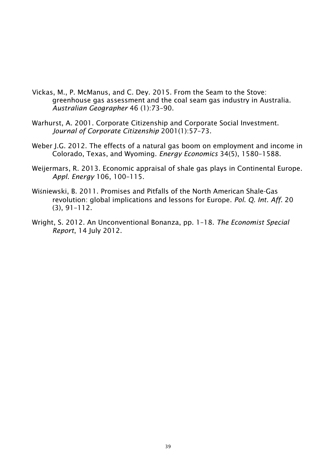- Vickas, M., P. McManus, and C. Dey. 2015. From the Seam to the Stove: greenhouse gas assessment and the coal seam gas industry in Australia. *Australian Geographer* 46 (1):73–90.
- Warhurst, A. 2001. Corporate Citizenship and Corporate Social Investment. *Journal of Corporate Citizenship* 2001(1):57–73.
- Weber J.G. 2012. The effects of a natural gas boom on employment and income in Colorado, Texas, and Wyoming. *Energy Economics* 34(5), 1580–1588.
- Weijermars, R. 2013. Economic appraisal of shale gas plays in Continental Europe. *Appl. Energy* 106, 100–115.
- Wiśniewski, B. 2011. Promises and Pitfalls of the North American Shale-Gas revolution: global implications and lessons for Europe. *Pol. Q. Int. Aff*. 20 (3), 91–112.
- Wright, S. 2012. An Unconventional Bonanza, pp. 1–18. *The Economist Special Report*, 14 July 2012.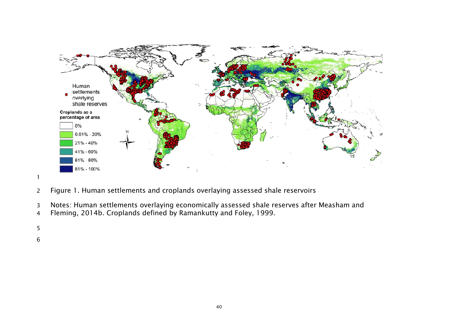

- Figure 1. Human settlements and croplands overlaying assessed shale reservoirs
- Notes: Human settlements overlaying economically assessed shale reserves after Measham and
- Fleming, 2014b. Croplands defined by Ramankutty and Foley, 1999.